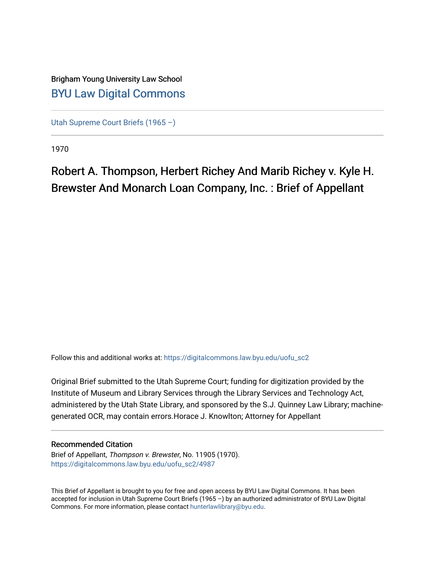# Brigham Young University Law School [BYU Law Digital Commons](https://digitalcommons.law.byu.edu/)

[Utah Supreme Court Briefs \(1965 –\)](https://digitalcommons.law.byu.edu/uofu_sc2)

1970

# Robert A. Thompson, Herbert Richey And Marib Richey v. Kyle H. Brewster And Monarch Loan Company, Inc. : Brief of Appellant

Follow this and additional works at: [https://digitalcommons.law.byu.edu/uofu\\_sc2](https://digitalcommons.law.byu.edu/uofu_sc2?utm_source=digitalcommons.law.byu.edu%2Fuofu_sc2%2F4987&utm_medium=PDF&utm_campaign=PDFCoverPages)

Original Brief submitted to the Utah Supreme Court; funding for digitization provided by the Institute of Museum and Library Services through the Library Services and Technology Act, administered by the Utah State Library, and sponsored by the S.J. Quinney Law Library; machinegenerated OCR, may contain errors.Horace J. Knowlton; Attorney for Appellant

#### Recommended Citation

Brief of Appellant, Thompson v. Brewster, No. 11905 (1970). [https://digitalcommons.law.byu.edu/uofu\\_sc2/4987](https://digitalcommons.law.byu.edu/uofu_sc2/4987?utm_source=digitalcommons.law.byu.edu%2Fuofu_sc2%2F4987&utm_medium=PDF&utm_campaign=PDFCoverPages) 

This Brief of Appellant is brought to you for free and open access by BYU Law Digital Commons. It has been accepted for inclusion in Utah Supreme Court Briefs (1965 –) by an authorized administrator of BYU Law Digital Commons. For more information, please contact [hunterlawlibrary@byu.edu](mailto:hunterlawlibrary@byu.edu).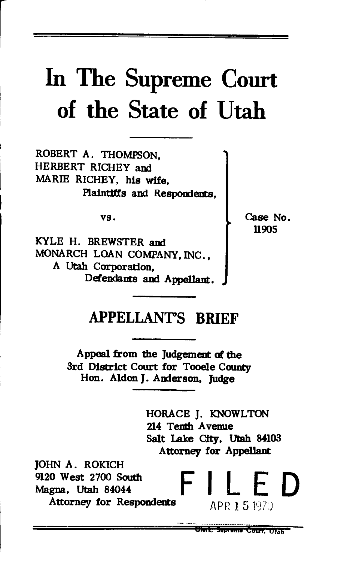# In The **Supreme** Court **of the State of** Utah

ROBERT A. THOMPSON. HERBERT RICHEY and MARIB RICHEY, his wife, Plaintiffs and Respondents,

vs.

KYLE H. BREWSTER and MONARCH LOAN COMPANY, INC., A Utah Corporation, Defendants and Appellant. Case No. 11905

## APPELLANT'S **BRIEF**

Appeal from the Judgement of the 3rd District Court for Tooele County Hon. Aldon J. Anderson, Judge

> HORACE J. KNOWLTON 214 Tenth Avenue Salt Lake City, Utah 84103 Attorney for Appellant

JOHN A. ROKICH 9120 West 2700 South **F I** F **D**<br>Magna, Utah 84044 **F I** F **D** Magna, Utah 84044 Attorney for Respondents  $APR 15197$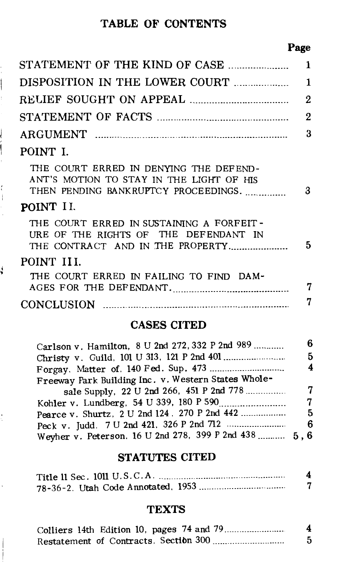#### TABLE OF CONTENTS

i

ļ

 $\begin{array}{c} \n\downarrow \\
\downarrow \\
\downarrow\n\end{array}$ 

 $\frac{1}{2}$ 

ś

Ì.

#### Page

|                                                                                                                            | 1 |
|----------------------------------------------------------------------------------------------------------------------------|---|
| DISPOSITION IN THE LOWER COURT                                                                                             | 1 |
|                                                                                                                            | 2 |
|                                                                                                                            | 2 |
|                                                                                                                            | 3 |
| POINT I.                                                                                                                   |   |
| THE COURT ERRED IN DENYING THE DEFEND-<br>ANT'S MOTION TO STAY IN THE LIGHT OF HIS<br>THEN PENDING BANKRUPTCY PROCEEDINGS. | 3 |
| POINT II.                                                                                                                  |   |
| THE COURT ERRED IN SUSTAINING A FORFEIT-<br>URE OF THE RIGHTS OF THE DEFENDANT IN<br>THE CONTRACT AND IN THE PROPERTY      | 5 |
| POINT III.                                                                                                                 |   |
| THE COURT ERRED IN FAILING TO FIND DAM-<br>AGES FOR THE DEFENDANT.                                                         | 7 |
|                                                                                                                            | 7 |
| <b>CASES CITED</b>                                                                                                         |   |

| Carlson v. Hamilton, 8 U 2nd 272, 332 P 2nd 989       | 6. |
|-------------------------------------------------------|----|
|                                                       | 5. |
|                                                       | 4  |
| Freeway Park Building Inc. v. Western States Whole-   |    |
| sale Supply, 22 U 2nd 266, 451 P 2nd 778              | 7  |
|                                                       | 7  |
| Pearce v. Shurtz, 2 U 2nd 124, 270 P 2nd 442          | 5. |
|                                                       |    |
| Weyher v. Peterson. 16 U 2nd 278, 399 P 2nd 438  5, 6 |    |

#### STATUTES CITED

| Title 11 Sec. 1011 U.S.C.A |  |
|----------------------------|--|
|                            |  |

### **TEXTS**

|                                        |  | 4 |
|----------------------------------------|--|---|
| Restatement of Contracts, Section 300. |  |   |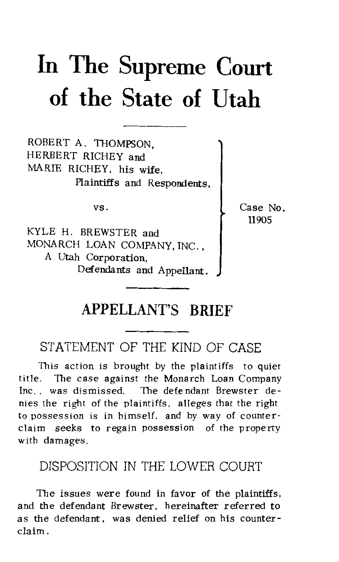# **In The Supreme Court of the State of Utah**

ROBERT A. THOMPSON, HERBERT RICHEY and MARIE RICHEY, his wife. Plaintiffs and Respondents,

vs.

KYLE H. BREWSTER and MONARCH LOAN COMPANY, INC., A Utah Corporation, Defendants and Appellant. Case No. 11905

### **APPELLANT'S BRIEF**

#### STATEMENT OF THE KIND OF CASE

This action is brought by the plaintiffs to quiet title. The case against the Monarch Loan Company Inc. , was dismissed. The defendant Brewster denies the right of the plaintiffs, alleges that the right to possession is in himself. and by way of counterclaim seeks to regain possession of the property with damages.

#### DISPOSITION IN THE LOWER COURT

The issues were found in favor of the plaintiffs, and the defendant Brewster, hereinafter referred to as the defendant , was denied relief on his counterclaim.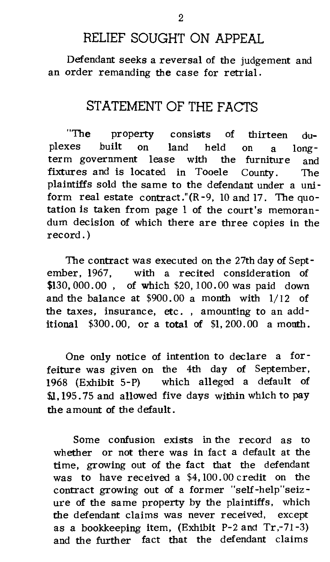#### RELIEF SOUGHT ON APPEAL

Defendant seeks a reversal of the judgement and an order remanding the case for retrial.

#### STATEMENT OF THE FACTS

"The property consists of thirteen duplexes built on land held on a longterm government lease with the furniture and fixtures and is located in Tooele County. The plaintiffs sold the same to the defendant under a uni form real estate contract."(R-9, 10 and 17. The quotation is taken from page 1 of the court's memorandum decision of which there are three copies in the record.)

The contract was executed on the 27th day of September, 1967, with a recited consideration of \$130,000.00 , of which \$20, 100.00 was paid down and the balance at \$900. 00 a month with 1/ 12 of the taxes, insurance, etc. , amounting to an additional  $$300.00$ , or a total of  $$1,200.00$  a month.

One only notice of intention to declare a forfeiture was given on the 4th day of September, 1968 (Exhibit 5-P) which alleged a default of \$1.195.75 and allowed five days within which to pay the amount of the default.

Some confusion exists in the record as to whether or not there was in fact a default at the time, growing out of the fact that the defendant was to have received a \$4, 100. 00 credit on the contract growing out of a former "self-help"seizure of the same property by the plaintiffs, which the defendant claims was never received, except as a bookkeeping item, (Exhibit P-2 and Tr,-71-3) and the further fact that the defendant claims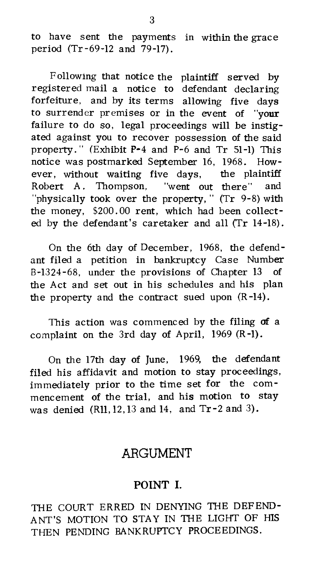to have sent the payments in within the grace period (Tr-69-12 and 79-17).

Following that notice the plaintiff served by registered mail a notice to defendant declaring forfeiture, and by its terms allowing five days to surrender premises or in the event of "your failure to do so, legal proceedings will be instigated against you to recover possession of the said property." (Exhibit P-4 and P-6 and Tr 51-1) This notice was postmarked September 16, 1968. However, without waiting five days, the plaintiff Robert A. Thompson, "went out there" and "physically took over the property," (Tr 9-8) with the money, \$200. 00 rent, which had been collected by the defendant's caretaker and all (Tr 14-18).

On the 6th day of December, 1968, the defendant filed a petition in bankruptcy Case Number B-1324-68, under the provisions of Chapter 13 of the Act and set out in bis schedules and his plan the property and the contract sued upon (R-14).

This action was commenced by the filing of a complaint on the 3rd day of April, 1969 (R-1).

On the 17th day of June, 1969, the defendant filed his affidavit and motion to stay proceedings, immediately prior to the time set for the commencement of the trial, and his motion to stay was denied (Rll, 12, 13 and 14, and Tr-2 and 3).

#### ARGUMENT

#### POINT I.

THE COURT ERRED IN DENYING THE DEFEND-ANT'S MOTION TO STAY IN THE LIGHT OF HIS THEN PENDING BANKRUPTCY PROCEEDINGS.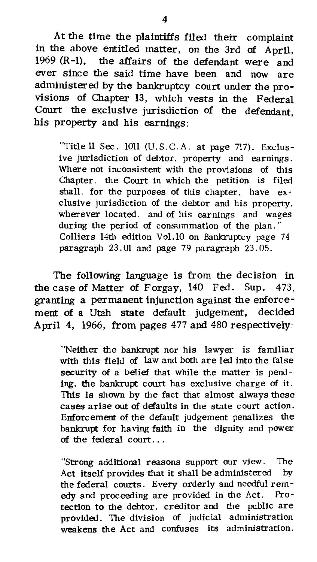At the time the plaintiffs filed their complaint in the above entitled matter, on the 3rd of April, 1969 (R-1), the affairs of the defendant were and ever since the said time have been and now are administered by the bankruptcy court under the provisions of Chapter 13, which vests in the Federal Court the exclusive jurisdiction of the defendant, his property and his earnings:

"Title  $11$  Sec.  $1011$  (U.S.C.A. at page 717). Exclusive jurisdiction of debtor, property and earnings. Where not inconsistent with the provisions of this Chapter. the Court in which the petition is filed shall, for the purposes of this chapter, have exelusive jurisdiction of the debtor and his property, wherever located. and of his earnings and wages during the period of consummation of the plan." Colliers 14th edition Vol.IO on Bankruptcy page 74 paragraph 23. 01 and page 79 paragraph 23. 05.

The following language is from the decision in the case of Matter of Forgay, 140 Fed. Sup. 473. granting a permanent injunction against the enforcement of a Utah state default judgement, decided April 4, 1966, from pages 477 and 480 respectively:

"Neither the bankrupt nor his lawyer is familiar with this field of law and both are led into the false security of a belief that while the matter is pending, the bankrupt court has exclusive charge of it. This is shown by the fact that almost always these cases arise out of defaults in the state court action. Enforcement of the default judgement penalizes the bankrupt for having faith in the dignity and power of the federal court...

"Strong additional reasons support our view. The Act itself provides that it shall be administered by the federal courts. Every orderly and needful rem edy and proceeding are provided in the Act. Protection to the debtor, creditor and the public are provided. The division of judicial administration weakens the Act and confuses its administration.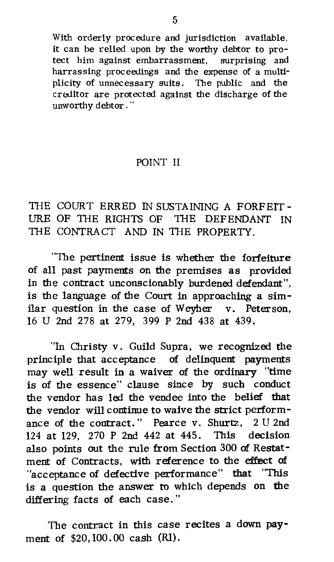With orderly procedure and jurisdiction available. it can be relied upon by the worthy debtor to protect him against embarrassment, surprising and harrassing proceedings and the expense of a multiplicity of unnecessary suits. The public and the creditor are protected against the discharge of the unworthy debtor."

#### POINT II

THE COURT ERRED IN SUSTAINING A FORFEIT-URE OF THE RIGHTS OF THE DEFENDANT IN THE CONTRACT AND IN THE PROPERTY.

"The pertinent issue is whether the forfeiture of all past payments on the premises as provided in the contract unconscionably burdened defendant", is the language of the Court in approaching a similar question in the case of Weyher v. Peterson, 16 U 2nd 278 at 279, 399 P 2nd 438 at 439.

"In Christy v. Guild Supra, we recognized the principle that acceptance of delinquent payments may well result in a waiver of the ordinary "time is of the essence" clause since by such conduct the vendor has led the vendee into the belief that the vendor will continue to waive the strict performance of the contract." Pearce v. Shurtz, 2 U 2nd 124 at 129, 270 P 2nd 442 at 445. This decision also points out the rule from Section 300 of Restatment of Contracts, with reference to the effect of "acceptance of defective performance" that "This is a question the answer to which depends on the differing facts of each case. "

The contract in this case recites a down payment of \$20, 100. 00 cash (Rl).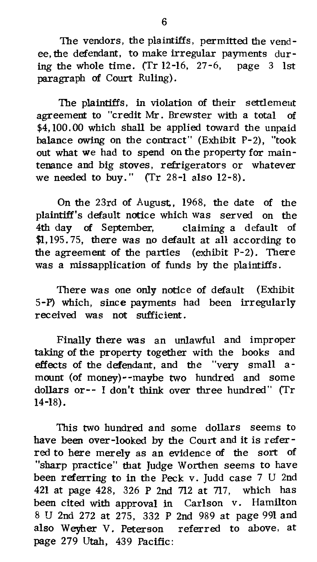The vendors, the plaintiffs, permitted the vend ee, the defendant, to make irregular payments during the whole time. (Tr  $12$ -16,  $27-6$ , page 3 1st paragraph of Court Ruling).

The plaintiffs, in violation of their settlement agreement to "credit Mr. Brewster with a total of \$4, 100. 00 which shall be applied toward the unpaid balance owing on the contract" (Exhibit P-2), "took out what we had to spend on the property for main tenance and big stoves, refrigerators or whatever we needed to buy." (Tr  $28-1$  also  $12-8$ ).

On the 23rd of August,, 1968, the date of the plaintiff's default notice which was served on the 4th day of September, claiming a default of \$1, 195. 75, there was no default at all according to the agreement of the parties (exhibit P-2). There was a missapplication of funds by the plaintiffs.

There was one only notice of default (Exhibit 5-P) which, since payments had been irregularly received was not sufficient.

Finally there was an unlawful and improper taking of the property together with the books and effects of the defendant, and the "very small amount (of money)--maybe two hundred and some dollars or-- I don't think over three hundred" (Tr 14-18).

This two hundred and some dollars seems to have been over-looked by the Court and it is referred to here merely as an evidence of the sort of "sharp practice" that Judge Worthen seems to have been referring to in the Peck v. Judd case 7 U 2nd 421 at page 428, 326 P 2nd 712 at 717, which has been cited with approval in Carlson v. Hamilton 8 U 2nd 272 at 275, 332 P 2nd 989 at page 991 and also Weyher V. Peterson referred to above, at page 279 Utah, 439 Pacific: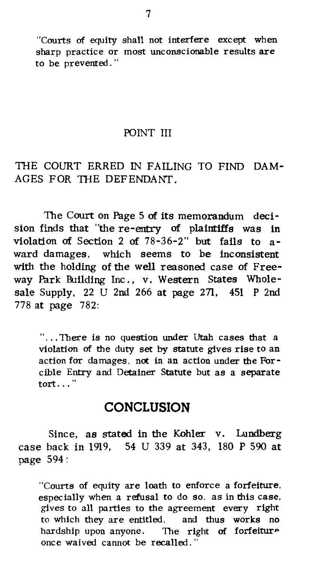"Courts of equity shall not interfere except when sharp practice or most unconscionable results are to be prevented . ''

#### POINT III

#### THE COURT ERRED IN FAILING TO FIND DAM-AGES FOR THE DEFENDANT.

The Court on Page 5 of its memorandum decision finds that "the re-entry of plaintiffs was in violation of Section 2 of 78-36-2" but fails to award damages, which seems to be inconsistent with the holding of the well reasoned case of Freeway Park Building Inc. , v. Western States Wholesale Supply, 22 U 2nd 266 at page 271, 451 P 2nd 778 at page 782:

"... There is no question under Utah cases that a violation of the duty set by statute gives rise to an action for damages. not in an action under the Forcible Entry and Detainer Statute but as a separate tort..."

#### **CONCLUSION**

Since, as stated in the Kohler v. Lundberg case back in 1919, 54 U 339 at 343, 180 P 590 at page 594:

"Courts of equity are loath to enforce a forfeiture, especially when a refusal to do so. as in this case, gives to all parties to the agreement every right to which they are entitled. and thus works no hardship upon anyone. The right of forfeiture once waived cannot be recalled. "